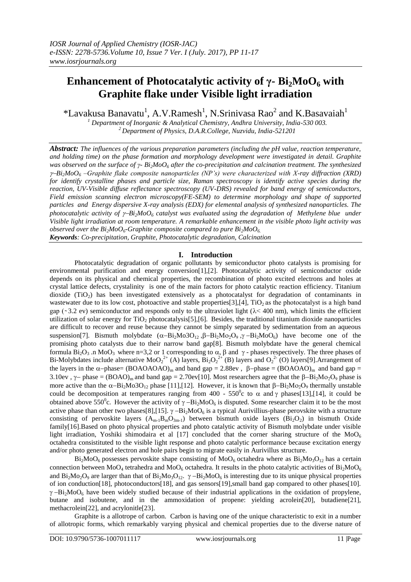# **Enhancement of Photocatalytic activity of γ- Bi2MoO<sup>6</sup> with Graphite flake under Visible light irradiation**

\*Lavakusa Banavatu<sup>1</sup>, A.V.Ramesh<sup>1</sup>, N.Srinivasa Rao<sup>2</sup> and K.Basavaiah<sup>1</sup>

*<sup>1</sup> Department of Inorganic & Analytical Chemistry, Andhra University, India-530 003. <sup>2</sup>Department of Physics, D.A.R.College, Nuzvidu, India-521201*

*Abstract: The influences of the various preparation parameters (including the pH value, reaction temperature, and holding time) on the phase formation and morphology development were investigated in detail. Graphite was observed on the surface of γ- Bi2MoO<sup>6</sup> after the co-precipitation and calcination treatment. The synthesized*   $\gamma$ <sup>2</sup>*Poi*<sub>2</sub>*MoO*<sup>6</sup> –*Graphite flake composite nanoparticles (NP's) were characterized with X-ray diffraction (XRD) for identify crystalline phases and particle size, Raman spectroscopy is identify active species during the reaction, UV-Visible diffuse reflectance spectroscopy (UV-DRS) revealed for band energy of semiconductors, Field emission scanning electron microscopy(FE-SEM) to determine morphology and shape of supported particles and Energy dispersive X-ray analysis (EDX) for elemental analysis of synthesized nanoparticles. The photocatalytic activity of*  $\gamma$ *-Bi* $_2$ *MoO*<sub>6</sub> *catalyst was evaluated using the degradation of Methylene blue under Visible light irradiation at room temperature. A remarkable enhancement in the visible photo light activity was observed over the Bi2MoO6-Graphite composite compared to pure Bi2MoO6. Keywords: Co-precipitation, Graphite, Photocatalytic degradation, Calcination*

# **I. Introduction**

Photocatalytic degradation of organic pollutants by semiconductor photo catalysts is promising for environmental purification and energy conversion[1],[2]. Photocatalytic activity of semiconductor oxide depends on its physical and chemical properties, the recombination of photo excited electrons and holes at crystal lattice defects, crystalinity is one of the main factors for photo catalytic reaction efficiency. Titanium dioxide ( $TiO<sub>2</sub>$ ) has been investigated extensively as a photocatalyst for degradation of contaminants in wastewater due to its low cost, photoactive and stable properties[3],[4],  $TiO<sub>2</sub>$  as the photocatalyst is a high band gap ( $\sim$ 3.2 ev) semiconductor and responds only to the ultraviolet light ( $\lambda$ < 400 nm), which limits the efficient utilization of solar energy for  $TiO<sub>2</sub>$  photocatalysis[5],[6]. Besides, the traditional titanium dioxide nanoparticles are difficult to recover and reuse because they cannot be simply separated by sedimentation from an aqueous suspension[7]. Bismuth molybdate  $(\alpha - Bi_2Mo3O_{12}, \beta - Bi_2Mo_2O_9, \gamma - Bi_2MoO_6)$  have become one of the promising photo catalysts due to their narrow band gap[8]. Bismuth molybdate have the general chemical formula Bi<sub>2</sub>O<sub>3</sub> .n MoO<sub>3</sub> where n=3,2 or 1 corresponding to  $\alpha$ ,  $\beta$  and  $\gamma$ -phases respectively. The three phases of Bi-Molybdates include alternative MoO<sub>2</sub><sup>2+</sup> (A) layers, Bi<sub>2</sub>O<sub>2</sub><sup>2+</sup> (B) layers and O<sub>2</sub><sup>2-</sup> (O) layers[9]. Arrangement of the layers in the  $\alpha$ -phase= (BOAOAOAO)<sub>m</sub> and band gap = 2.88ev,  $\beta$ -phase = (BOAOAO)<sub>m</sub> and band gap = 3.10ev,  $\gamma$  phase = (BOAO)<sub>m</sub> and band gap = 2.70ev[10]. Most researchers agree that the  $\beta - Bi_2Mo_2O_9$  phase is more active than the  $\alpha - Bi_2Mo3O_{12}$  phase [11],[12]. However, it is known that  $\beta - Bi_2Mo_2O_9$  thermally unstable could be decomposition at temperatures ranging from 400 -  $550^{\circ}$ c to  $\alpha$  and  $\gamma$  phases[13],[14], it could be obtained above 550<sup>°</sup>c. However the activity of  $\gamma - Bi_2MoO_6$  is disputed. Some researcher claim it to be the most active phase than other two phases[8],[15].  $\gamma$  -Bi<sub>2</sub>MoO<sub>6</sub> is a typical Aurivillius-phase perovskite with a structure consisting of pervoskite layers  $(A_{m-1}B_mO_{3m-1})$  between bismuth oxide layers  $(Bi_2O_2)$  in bismuth Oxide family[16].Based on photo physical properties and photo catalytic activity of Bismuth molybdate under visible light irradiation, Yoshiki shimodaira et al [17] concluded that the corner sharing structure of the  $Mo<sub>6</sub>$ octahedra consistituted to the visible light response and photo catalytic performance because excitation energy and/or photo generated electron and hole pairs begin to migrate easily in Aurivillus structure.

 $Bi<sub>2</sub>Mo<sub>6</sub>$  possesses pervoskite shape consisting of MoO<sub>6</sub> octahedra where as  $Bi<sub>2</sub>Mo<sub>3</sub>O<sub>12</sub>$  has a certain connection between MoO<sub>4</sub> tetrahedra and MoO<sub>6</sub> octahedra. It results in the photo catalytic activities of  $Bi_2MoO_6$ and  $Bi_2Mo_2O_9$  are larger than that of  $Bi_2Mo_3O_{12}$ .  $\gamma - Bi_2MoO_6$  is interesting due to its unique physical properties of ion conduction[18], photoconductors[18], and gas sensors[19],small band gap compared to other phases[10].  $\gamma$ -Bi<sub>2</sub>MoO<sub>6</sub> have been widely studied because of their industrial applications in the oxidation of propylene, butane and isobutene, and in the ammoxidation of propene: yielding acrolein[20], butadiene[21], methacrolein[22], and acrylonitle[23].

Graphite is a allotrope of carbon. Carbon is having one of the unique characteristic to exit in a number of allotropic forms, which remarkably varying physical and chemical properties due to the diverse nature of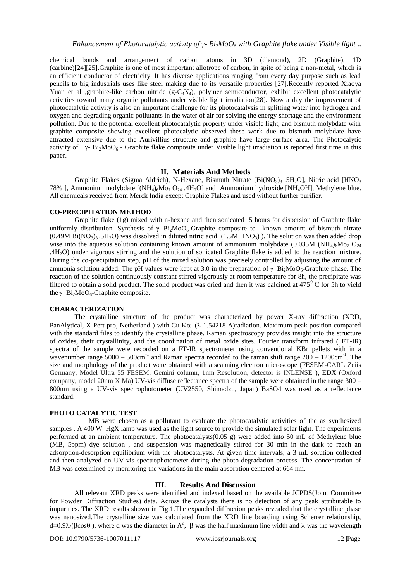chemical bonds and arrangement of carbon atoms in 3D (diamond), 2D (Graphite), 1D (carbine)[24][25].Graphite is one of most important allotrope of carbon, in spite of being a non-metal, which is an efficient conductor of electricity. It has diverse applications ranging from every day purpose such as lead pencils to big industrials uses like steel making due to its versatile properties [27].Recently reported Xiaoya Yuan et al ,graphite-like carbon nitride  $(g-C_3N_4)$ , polymer semiconductor, exhibit excellent photocatalytic activities toward many organic pollutants under visible light irradiation[28]. Now a day the improvement of photocatalytic activity is also an important challenge for its photocatalysis in splitting water into hydrogen and oxygen and degrading organic pollutants in the water of air for solving the energy shortage and the environment pollution. Due to the potential excellent photocatalytic property under visible light, and bismuth molybdate with graphite composite showing excellent photocalytic observed these work due to bismuth molybdate have attracted extensive due to the Aurivillius structure and graphite have large surface area. The Photocalytic activity of  $\gamma$ - Bi<sub>2</sub>MoO<sub>6</sub> - Graphite flake composite under Visible light irradiation is reported first time in this paper.

# **II. Materials And Methods**

Graphite Flakes (Sigma Aldrich), N-Hexane, Bismuth Nitrate [Bi(NO<sub>3</sub>)<sub>3</sub> .5H<sub>2</sub>O], Nitric acid [HNO<sub>3</sub>] 78% ], Ammonium molybdate  $[(NH_4)_6M_2O_{24}$ .4H<sub>2</sub>O] and Ammonium hydroxide  $[NH_4OH]$ , Methylene blue. All chemicals received from Merck India except Graphite Flakes and used without further purifier.

# **CO-PRECIPITATION METHOD**

Graphite flake (1g) mixed with n-hexane and then sonicated 5 hours for dispersion of Graphite flake uniformly distribution. Synthesis of  $\gamma - Bi_2MoO_6$ -Graphite composite to known amount of bismuth nitrate  $(0.49M \text{Bi}(\text{NO}_3)$ <sub>3</sub>.5H<sub>2</sub>O) was dissolved in diluted nitric acid  $(1.5M \text{ H}(\text{NO}_3))$ . The solution was then added drop wise into the aqueous solution containing known amount of ammonium molybdate (0.035M (NH<sub>4</sub>)<sub>6</sub>Mo<sub>7</sub> O<sub>24</sub> .4H2O) under vigorous stirring and the solution of sonicated Graphite flake is added to the reaction mixture. During the co-precipitation step, pH of the mixed solution was precisely controlled by adjusting the amount of ammonia solution added. The pH values were kept at 3.0 in the preparation of  $\gamma - Bi_2MoO_6$ -Graphite phase. The reaction of the solution continuously constant stirred vigorously at room temperature for 8h, the precipitate was filtered to obtain a solid product. The solid product was dried and then it was calcined at  $475^{\circ}$ C for 5h to yield the  $\gamma$ -Bi<sub>2</sub>MoO<sub>6</sub>-Graphite composite.

### **CHARACTERIZATION**

The crystalline structure of the product was characterized by power X-ray diffraction (XRD, PanAlytical, X-Pert pro, Netherland ) with Cu K $\alpha$  ( $\lambda$ -1.54218 A)radiation. Maximum peak position compared with the standard files to identify the crystalline phase. Raman spectroscopy provides insight into the structure of oxides, their crystallinity, and the coordination of metal oxide sites. Fourier transform infrared ( FT-IR) spectra of the sample were recorded on a FT-IR spectrometer using conventional KBr pellets with in a wavenumber range  $\overline{5000} - 500 \text{cm}^{-1}$  and Raman spectra recorded to the raman shift range  $200 - 1200 \text{cm}^{-1}$ . The size and morphology of the product were obtained with a scanning electron microscope (FESEM-CARL Zeiis Germany, Model Ultra 55 FESEM, Gemini column, 1nm Resolution, detector is INLENSE ), EDX (Oxford company, model 20nm X Ma) UV-vis diffuse reflectance spectra of the sample were obtained in the range 300 – 800nm using a UV-vis spectrophotometer (UV2550, Shimadzu, Japan) BaSO4 was used as a reflectance standard.

# **PHOTO CATALYTIC TEST**

MB were chosen as a pollutant to evaluate the photocatalytic activities of the as synthesized samples . A 400 W HgX lamp was used as the light source to provide the simulated solar light. The experiments performed at an ambient temperature. The photocatalysts(0.05 g) were added into 50 mL of Methylene blue (MB, 5ppm) dye solution , and suspension was magnetically stirred for 30 min in the dark to reach an adsorption-desorption equilibrium with the photocatalysts. At given time intervals, a 3 mL solution collected and then analyzed on UV-vis spectrophotometer during the photo-degradation process. The concentration of MB was determined by monitoring the variations in the main absorption centered at 664 nm.

### **III. Results And Discussion**

All relevant XRD peaks were identified and indexed based on the available JCPDS(Joint Committee for Powder Diffraction Studies) data. Across the catalysts there is no detection of any peak attributable to impurities. The XRD results shown in Fig.1.The expanded diffraction peaks revealed that the crystalline phase was nanosized.The crystalline size was calculated from the XRD line boarding using Scherrer relationship,  $d=0.9\lambda/( \beta cos\theta)$ , where d was the diameter in A<sup>o</sup>,  $\beta$  was the half maximum line width and  $\lambda$  was the wavelength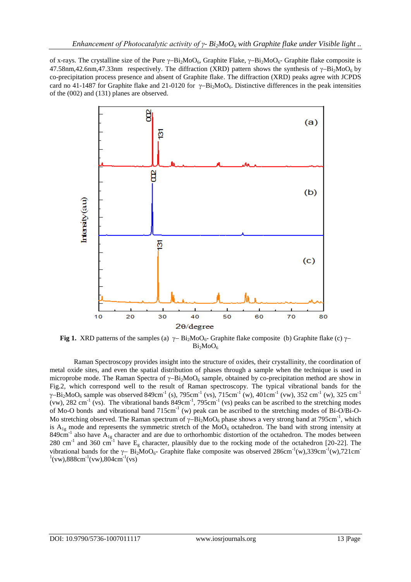of x-rays. The crystalline size of the Pure  $\gamma - Bi_2MO_6$ , Graphite Flake,  $\gamma - Bi_2MO_6$ - Graphite flake composite is 47.58nm,42.6nm,47.33nm respectively. The diffraction (XRD) pattern shows the synthesis of  $\gamma$ -Bi<sub>2</sub>MoO<sub>6</sub> by co-precipitation process presence and absent of Graphite flake. The diffraction (XRD) peaks agree with JCPDS card no 41-1487 for Graphite flake and 21-0120 for  $\gamma - Bi_2MoO_6$ . Distinctive differences in the peak intensities of the (002) and (131) planes are observed.



**Fig 1.** XRD patterns of the samples (a)  $\gamma - \text{Bi}_2\text{MoO}_6$ - Graphite flake composite (b) Graphite flake (c)  $\gamma$ - $Bi_2MoO_6$ 

 Raman Spectroscopy provides insight into the structure of oxides, their crystallinity, the coordination of metal oxide sites, and even the spatial distribution of phases through a sample when the technique is used in microprobe mode. The Raman Spectra of  $\gamma$ -Bi<sub>2</sub>MoO<sub>6</sub> sample, obtained by co-precipitation method are show in Fig.2, which correspond well to the result of Raman spectroscopy. The typical vibrational bands for the  $\gamma$ -Bi<sub>2</sub>MoO<sub>6</sub> sample was observed 849cm<sup>-1</sup> (s), 795cm<sup>-1</sup> (vs), 715cm<sup>-1</sup> (w), 401cm<sup>-1</sup> (vw), 352 cm<sup>-1</sup> (w), 325 cm<sup>-1</sup> (vw), 282 cm<sup>-1</sup> (vs). The vibrational bands  $849 \text{cm}^{-1}$ ,  $795 \text{cm}^{-1}$  (vs) peaks can be ascribed to the stretching modes of Mo-O bonds and vibrational band 715cm<sup>-1</sup> (w) peak can be ascribed to the stretching modes of Bi-O/Bi-O-Mo stretching observed. The Raman spectrum of  $\gamma$ -Bi<sub>2</sub>MoO<sub>6</sub> phase shows a very strong band at 795cm<sup>-1</sup>, which is  $A_{1g}$  mode and represents the symmetric stretch of the MoO<sub>6</sub> octahedron. The band with strong intensity at 849cm<sup>-1</sup> also have  $A_{1g}$  character and are due to orthorhombic distortion of the octahedron. The modes between 280 cm<sup>-1</sup> and 360 cm<sup>-1</sup> have E<sub>g</sub> character, plausibly due to the rocking mode of the octahedron [20-22]. The vibrational bands for the  $\gamma$ - Bi<sub>2</sub>MoO<sub>6</sub>- Graphite flake composite was observed 286cm<sup>-1</sup>(w),339cm<sup>-1</sup>(w),721cm<sup>-</sup>  $1$ (vw),888cm<sup>-1</sup>(vw),804cm<sup>-1</sup>(vs)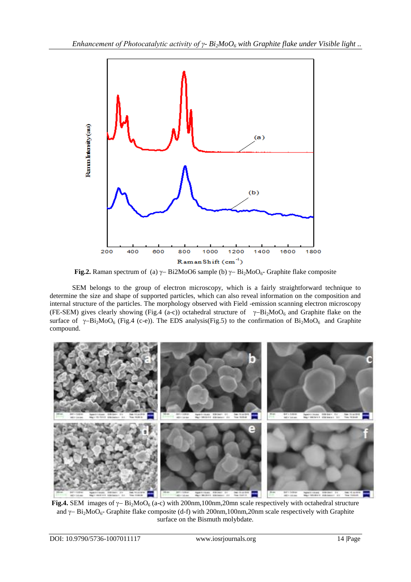

**Fig.2.** Raman spectrum of (a)  $\gamma$  Bi2MoO6 sample (b)  $\gamma$  Bi<sub>2</sub>MoO<sub>6</sub>- Graphite flake composite

SEM belongs to the group of electron microscopy, which is a fairly straightforward technique to determine the size and shape of supported particles, which can also reveal information on the composition and internal structure of the particles. The morphology observed with Field -emission scanning electron microscopy (FE-SEM) gives clearly showing (Fig.4 (a-c)) octahedral structure of  $\gamma - Bi_2MoO_6$  and Graphite flake on the surface of  $\gamma$ -Bi<sub>2</sub>MoO<sub>6</sub> (Fig.4 (c-e)). The EDS analysis(Fig.5) to the confirmation of Bi<sub>2</sub>MoO<sub>6</sub> and Graphite compound.



**Fig.4.** SEM images of  $\gamma$ -Bi<sub>2</sub>MoO<sub>6</sub> (a-c) with 200nm,100nm,20mn scale respectively with octahedral structure and  $\gamma$ – Bi<sub>2</sub>MoO<sub>6</sub>- Graphite flake composite (d-f) with 200nm,100nm,20nm scale respectively with Graphite surface on the Bismuth molybdate.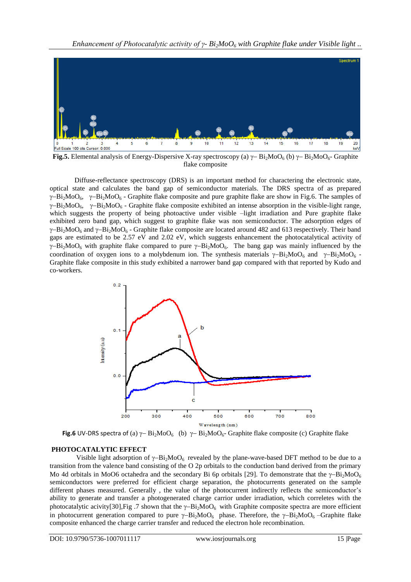

**Fig.5.** Elemental analysis of Energy-Dispersive X-ray spectroscopy (a)  $\gamma$ -Bi<sub>2</sub>MoO<sub>6</sub> (b)  $\gamma$ -Bi<sub>2</sub>MoO<sub>6</sub>- Graphite flake composite

Diffuse-reflectance spectroscopy (DRS) is an important method for charactering the electronic state, optical state and calculates the band gap of semiconductor materials. The DRS spectra of as prepared  $\gamma$ -Bi<sub>2</sub>MoO<sub>6</sub>,  $\gamma$ -Bi<sub>2</sub>MoO<sub>6</sub> - Graphite flake composite and pure graphite flake are show in Fig.6. The samples of  $\gamma$ -Bi<sub>2</sub>MoO<sub>6</sub>,  $\gamma$ -Bi<sub>2</sub>MoO<sub>6</sub> - Graphite flake composite exhibited an intense absorption in the visible-light range, which suggests the property of being photoactive under visible –light irradiation and Pure graphite flake exhibited zero band gap, which suggest to graphite flake was non semiconductor. The adsorption edges of  $\gamma$ -Bi<sub>2</sub>MoO<sub>6</sub> and  $\gamma$ -Bi<sub>2</sub>MoO<sub>6</sub> - Graphite flake composite are located around 482 and 613 respectively. Their band gaps are estimated to be 2.57 eV and 2.02 eV, which suggests enhancement the photocatalytical activity of  $\gamma$ -Bi<sub>2</sub>MoO<sub>6</sub> with graphite flake compared to pure  $\gamma$ -Bi<sub>2</sub>MoO<sub>6</sub>. The bang gap was mainly influenced by the coordination of oxygen ions to a molybdenum ion. The synthesis materials  $\gamma - Bi_1MO_6$  and  $\gamma - Bi_2MO_6$ . Graphite flake composite in this study exhibited a narrower band gap compared with that reported by Kudo and co-workers.



**Fig.6** UV-DRS spectra of (a)  $\gamma$ - Bi<sub>2</sub>MoO<sub>6</sub> (b)  $\gamma$ - Bi<sub>2</sub>MoO<sub>6</sub>- Graphite flake composite (c) Graphite flake

# **PHOTOCATALYTIC EFFECT**

Visible light adsorption of  $\gamma - Bi_2MO_6$  revealed by the plane-wave-based DFT method to be due to a transition from the valence band consisting of the O 2p orbitals to the conduction band derived from the primary Mo 4d orbitals in MoO6 octahedra and the secondary Bi 6p orbitals [29]. To demonstrate that the  $\gamma$ -Bi<sub>2</sub>MoO<sub>6</sub> semiconductors were preferred for efficient charge separation, the photocurrents generated on the sample different phases measured. Generally, the value of the photocurrent indirectly reflects the semiconductor's ability to generate and transfer a photogenerated charge carrior under irradiation, which correletes with the photocatalytic acivity[30],Fig .7 shown that the  $\gamma$ -Bi<sub>2</sub>MoO<sub>6</sub> with Graphite composite spectra are more efficient in photocurrent generation compared to pure  $\gamma - Bi_2MoO_6$  phase. Therefore, the  $\gamma - Bi_2MoO_6$  –Graphite flake composite enhanced the charge carrier transfer and reduced the electron hole recombination.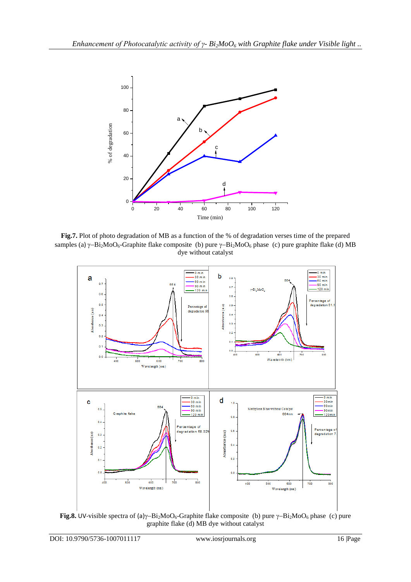

Fig.7. Plot of photo degradation of MB as a function of the % of degradation verses time of the prepared samples (a)  $\gamma - Bi_2MoO_6$ -Graphite flake composite (b) pure  $\gamma - Bi_2MoO_6$  phase (c) pure graphite flake (d) MB dye without catalyst



**Fig.8.** UV-visible spectra of (a) $\gamma$ -Bi<sub>2</sub>MoO<sub>6</sub>-Graphite flake composite (b) pure  $\gamma$ -Bi<sub>2</sub>MoO<sub>6</sub> phase (c) pure graphite flake (d) MB dye without catalyst